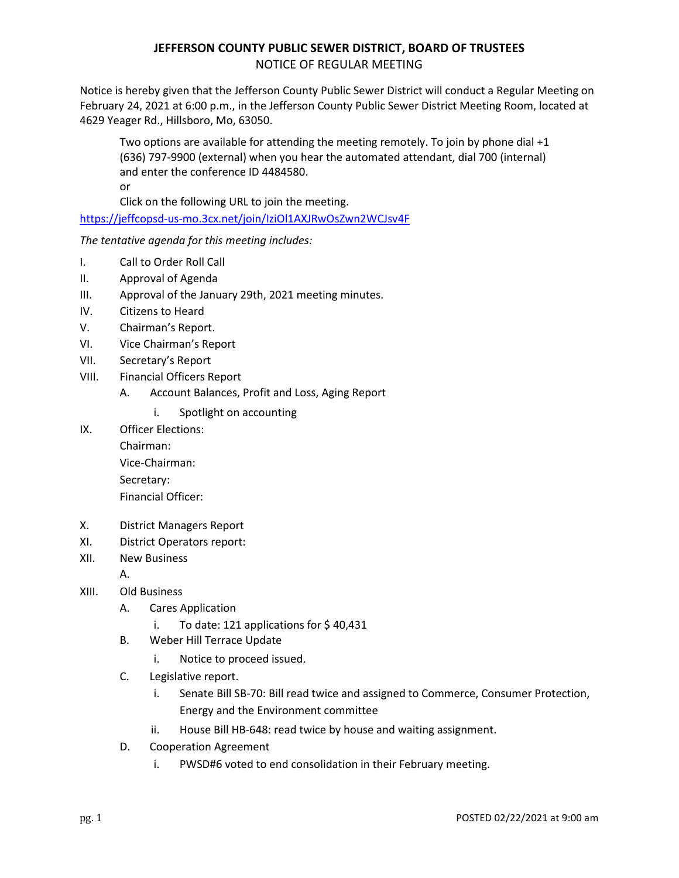## **JEFFERSON COUNTY PUBLIC SEWER DISTRICT, BOARD OF TRUSTEES**  NOTICE OF REGULAR MEETING

Notice is hereby given that the Jefferson County Public Sewer District will conduct a Regular Meeting on February 24, 2021 at 6:00 p.m., in the Jefferson County Public Sewer District Meeting Room, located at 4629 Yeager Rd., Hillsboro, Mo, 63050.

Two options are available for attending the meeting remotely. To join by phone dial +1 (636) 797-9900 (external) when you hear the automated attendant, dial 700 (internal) and enter the conference ID 4484580. or

Click on the following URL to join the meeting.

https://jeffcopsd-us-mo.3cx.net/join/IziOl1AXJRwOsZwn2WCJsv4F

*The tentative agenda for this meeting includes:* 

- I. Call to Order Roll Call
- II. Approval of Agenda
- III. Approval of the January 29th, 2021 meeting minutes.
- IV. Citizens to Heard
- V. Chairman's Report.
- VI. Vice Chairman's Report
- VII. Secretary's Report
- VIII. Financial Officers Report
	- A. Account Balances, Profit and Loss, Aging Report
		- i. Spotlight on accounting
- IX. Officer Elections:

 Chairman: Vice-Chairman: Secretary: Financial Officer:

- X. District Managers Report
- XI. District Operators report:
- XII. New Business

A.

- XIII. Old Business
	- A. Cares Application
		- i. To date: 121 applications for \$ 40,431
	- B. Weber Hill Terrace Update
		- i. Notice to proceed issued.
	- C. Legislative report.
		- i. Senate Bill SB-70: Bill read twice and assigned to Commerce, Consumer Protection, Energy and the Environment committee
		- ii. House Bill HB-648: read twice by house and waiting assignment.
	- D. Cooperation Agreement
		- i. PWSD#6 voted to end consolidation in their February meeting.